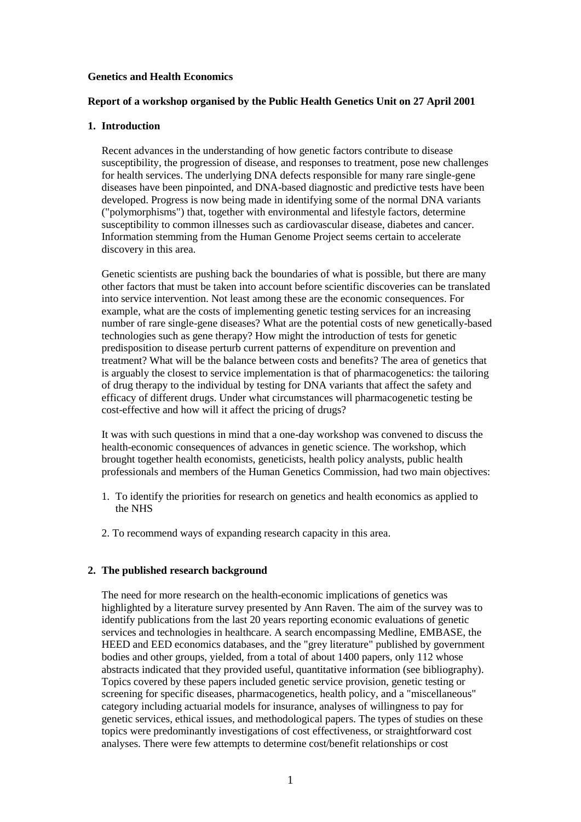#### **Genetics and Health Economics**

### **Report of a workshop organised by the Public Health Genetics Unit on 27 April 2001**

#### **1. Introduction**

Recent advances in the understanding of how genetic factors contribute to disease susceptibility, the progression of disease, and responses to treatment, pose new challenges for health services. The underlying DNA defects responsible for many rare single-gene diseases have been pinpointed, and DNA-based diagnostic and predictive tests have been developed. Progress is now being made in identifying some of the normal DNA variants ("polymorphisms") that, together with environmental and lifestyle factors, determine susceptibility to common illnesses such as cardiovascular disease, diabetes and cancer. Information stemming from the Human Genome Project seems certain to accelerate discovery in this area.

Genetic scientists are pushing back the boundaries of what is possible, but there are many other factors that must be taken into account before scientific discoveries can be translated into service intervention. Not least among these are the economic consequences. For example, what are the costs of implementing genetic testing services for an increasing number of rare single-gene diseases? What are the potential costs of new genetically-based technologies such as gene therapy? How might the introduction of tests for genetic predisposition to disease perturb current patterns of expenditure on prevention and treatment? What will be the balance between costs and benefits? The area of genetics that is arguably the closest to service implementation is that of pharmacogenetics: the tailoring of drug therapy to the individual by testing for DNA variants that affect the safety and efficacy of different drugs. Under what circumstances will pharmacogenetic testing be cost-effective and how will it affect the pricing of drugs?

It was with such questions in mind that a one-day workshop was convened to discuss the health-economic consequences of advances in genetic science. The workshop, which brought together health economists, geneticists, health policy analysts, public health professionals and members of the Human Genetics Commission, had two main objectives:

- 1. To identify the priorities for research on genetics and health economics as applied to the NHS
- 2. To recommend ways of expanding research capacity in this area.

### **2. The published research background**

The need for more research on the health-economic implications of genetics was highlighted by a literature survey presented by Ann Raven. The aim of the survey was to identify publications from the last 20 years reporting economic evaluations of genetic services and technologies in healthcare. A search encompassing Medline, EMBASE, the HEED and EED economics databases, and the "grey literature" published by government bodies and other groups, yielded, from a total of about 1400 papers, only 112 whose abstracts indicated that they provided useful, quantitative information (see bibliography). Topics covered by these papers included genetic service provision, genetic testing or screening for specific diseases, pharmacogenetics, health policy, and a "miscellaneous" category including actuarial models for insurance, analyses of willingness to pay for genetic services, ethical issues, and methodological papers. The types of studies on these topics were predominantly investigations of cost effectiveness, or straightforward cost analyses. There were few attempts to determine cost/benefit relationships or cost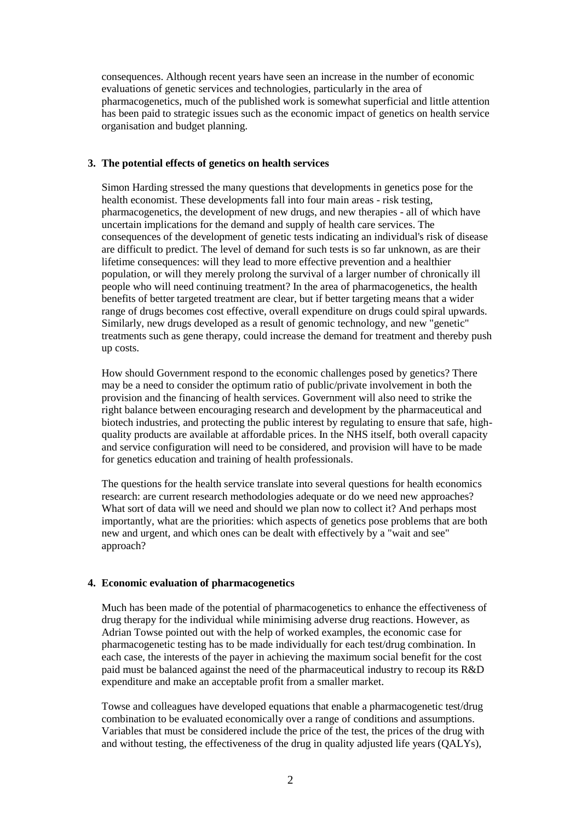consequences. Although recent years have seen an increase in the number of economic evaluations of genetic services and technologies, particularly in the area of pharmacogenetics, much of the published work is somewhat superficial and little attention has been paid to strategic issues such as the economic impact of genetics on health service organisation and budget planning.

### **3. The potential effects of genetics on health services**

Simon Harding stressed the many questions that developments in genetics pose for the health economist. These developments fall into four main areas - risk testing, pharmacogenetics, the development of new drugs, and new therapies - all of which have uncertain implications for the demand and supply of health care services. The consequences of the development of genetic tests indicating an individual's risk of disease are difficult to predict. The level of demand for such tests is so far unknown, as are their lifetime consequences: will they lead to more effective prevention and a healthier population, or will they merely prolong the survival of a larger number of chronically ill people who will need continuing treatment? In the area of pharmacogenetics, the health benefits of better targeted treatment are clear, but if better targeting means that a wider range of drugs becomes cost effective, overall expenditure on drugs could spiral upwards. Similarly, new drugs developed as a result of genomic technology, and new "genetic" treatments such as gene therapy, could increase the demand for treatment and thereby push up costs.

How should Government respond to the economic challenges posed by genetics? There may be a need to consider the optimum ratio of public/private involvement in both the provision and the financing of health services. Government will also need to strike the right balance between encouraging research and development by the pharmaceutical and biotech industries, and protecting the public interest by regulating to ensure that safe, highquality products are available at affordable prices. In the NHS itself, both overall capacity and service configuration will need to be considered, and provision will have to be made for genetics education and training of health professionals.

The questions for the health service translate into several questions for health economics research: are current research methodologies adequate or do we need new approaches? What sort of data will we need and should we plan now to collect it? And perhaps most importantly, what are the priorities: which aspects of genetics pose problems that are both new and urgent, and which ones can be dealt with effectively by a "wait and see" approach?

### **4. Economic evaluation of pharmacogenetics**

Much has been made of the potential of pharmacogenetics to enhance the effectiveness of drug therapy for the individual while minimising adverse drug reactions. However, as Adrian Towse pointed out with the help of worked examples, the economic case for pharmacogenetic testing has to be made individually for each test/drug combination. In each case, the interests of the payer in achieving the maximum social benefit for the cost paid must be balanced against the need of the pharmaceutical industry to recoup its R&D expenditure and make an acceptable profit from a smaller market.

Towse and colleagues have developed equations that enable a pharmacogenetic test/drug combination to be evaluated economically over a range of conditions and assumptions. Variables that must be considered include the price of the test, the prices of the drug with and without testing, the effectiveness of the drug in quality adjusted life years (QALYs),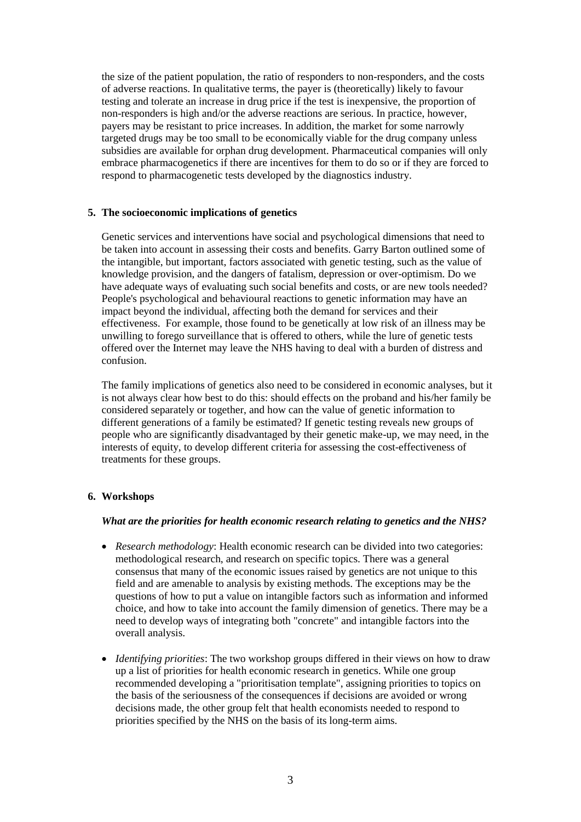the size of the patient population, the ratio of responders to non-responders, and the costs of adverse reactions. In qualitative terms, the payer is (theoretically) likely to favour testing and tolerate an increase in drug price if the test is inexpensive, the proportion of non-responders is high and/or the adverse reactions are serious. In practice, however, payers may be resistant to price increases. In addition, the market for some narrowly targeted drugs may be too small to be economically viable for the drug company unless subsidies are available for orphan drug development. Pharmaceutical companies will only embrace pharmacogenetics if there are incentives for them to do so or if they are forced to respond to pharmacogenetic tests developed by the diagnostics industry.

### **5. The socioeconomic implications of genetics**

Genetic services and interventions have social and psychological dimensions that need to be taken into account in assessing their costs and benefits. Garry Barton outlined some of the intangible, but important, factors associated with genetic testing, such as the value of knowledge provision, and the dangers of fatalism, depression or over-optimism. Do we have adequate ways of evaluating such social benefits and costs, or are new tools needed? People's psychological and behavioural reactions to genetic information may have an impact beyond the individual, affecting both the demand for services and their effectiveness. For example, those found to be genetically at low risk of an illness may be unwilling to forego surveillance that is offered to others, while the lure of genetic tests offered over the Internet may leave the NHS having to deal with a burden of distress and confusion.

The family implications of genetics also need to be considered in economic analyses, but it is not always clear how best to do this: should effects on the proband and his/her family be considered separately or together, and how can the value of genetic information to different generations of a family be estimated? If genetic testing reveals new groups of people who are significantly disadvantaged by their genetic make-up, we may need, in the interests of equity, to develop different criteria for assessing the cost-effectiveness of treatments for these groups.

### **6. Workshops**

#### *What are the priorities for health economic research relating to genetics and the NHS?*

- *Research methodology*: Health economic research can be divided into two categories: methodological research, and research on specific topics. There was a general consensus that many of the economic issues raised by genetics are not unique to this field and are amenable to analysis by existing methods. The exceptions may be the questions of how to put a value on intangible factors such as information and informed choice, and how to take into account the family dimension of genetics. There may be a need to develop ways of integrating both "concrete" and intangible factors into the overall analysis.
- *Identifying priorities*: The two workshop groups differed in their views on how to draw up a list of priorities for health economic research in genetics. While one group recommended developing a "prioritisation template", assigning priorities to topics on the basis of the seriousness of the consequences if decisions are avoided or wrong decisions made, the other group felt that health economists needed to respond to priorities specified by the NHS on the basis of its long-term aims.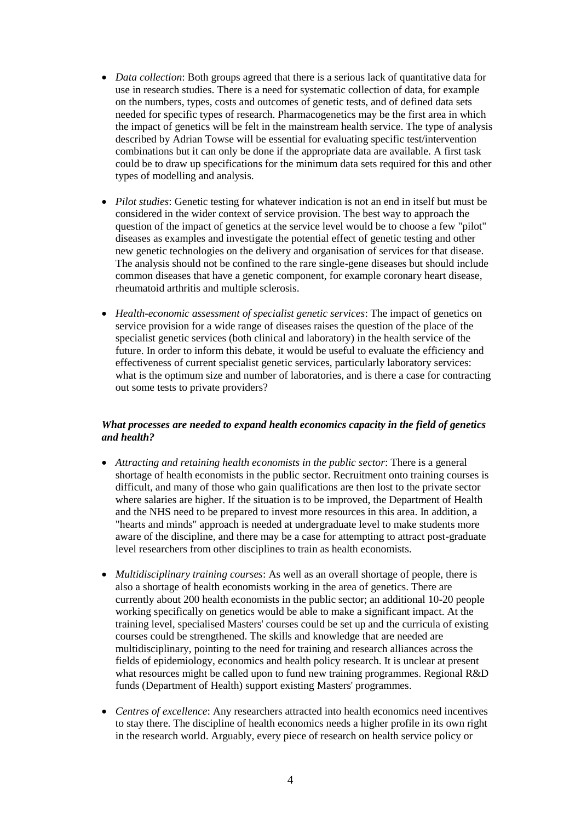- *Data collection*: Both groups agreed that there is a serious lack of quantitative data for use in research studies. There is a need for systematic collection of data, for example on the numbers, types, costs and outcomes of genetic tests, and of defined data sets needed for specific types of research. Pharmacogenetics may be the first area in which the impact of genetics will be felt in the mainstream health service. The type of analysis described by Adrian Towse will be essential for evaluating specific test/intervention combinations but it can only be done if the appropriate data are available. A first task could be to draw up specifications for the minimum data sets required for this and other types of modelling and analysis.
- *Pilot studies*: Genetic testing for whatever indication is not an end in itself but must be considered in the wider context of service provision. The best way to approach the question of the impact of genetics at the service level would be to choose a few "pilot" diseases as examples and investigate the potential effect of genetic testing and other new genetic technologies on the delivery and organisation of services for that disease. The analysis should not be confined to the rare single-gene diseases but should include common diseases that have a genetic component, for example coronary heart disease, rheumatoid arthritis and multiple sclerosis.
- *Health-economic assessment of specialist genetic services*: The impact of genetics on service provision for a wide range of diseases raises the question of the place of the specialist genetic services (both clinical and laboratory) in the health service of the future. In order to inform this debate, it would be useful to evaluate the efficiency and effectiveness of current specialist genetic services, particularly laboratory services: what is the optimum size and number of laboratories, and is there a case for contracting out some tests to private providers?

# *What processes are needed to expand health economics capacity in the field of genetics and health?*

- *Attracting and retaining health economists in the public sector*: There is a general shortage of health economists in the public sector. Recruitment onto training courses is difficult, and many of those who gain qualifications are then lost to the private sector where salaries are higher. If the situation is to be improved, the Department of Health and the NHS need to be prepared to invest more resources in this area. In addition, a "hearts and minds" approach is needed at undergraduate level to make students more aware of the discipline, and there may be a case for attempting to attract post-graduate level researchers from other disciplines to train as health economists.
- *Multidisciplinary training courses*: As well as an overall shortage of people, there is also a shortage of health economists working in the area of genetics. There are currently about 200 health economists in the public sector; an additional 10-20 people working specifically on genetics would be able to make a significant impact. At the training level, specialised Masters' courses could be set up and the curricula of existing courses could be strengthened. The skills and knowledge that are needed are multidisciplinary, pointing to the need for training and research alliances across the fields of epidemiology, economics and health policy research. It is unclear at present what resources might be called upon to fund new training programmes. Regional R&D funds (Department of Health) support existing Masters' programmes.
- *Centres of excellence*: Any researchers attracted into health economics need incentives to stay there. The discipline of health economics needs a higher profile in its own right in the research world. Arguably, every piece of research on health service policy or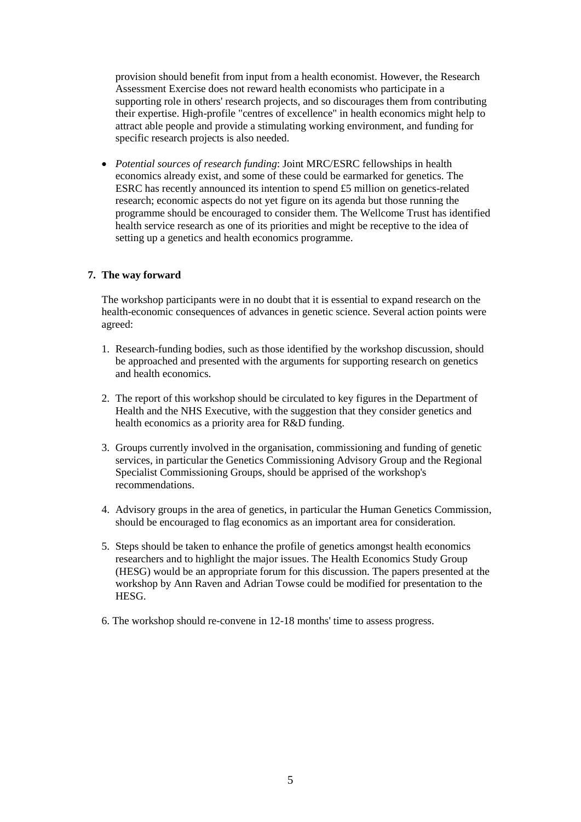provision should benefit from input from a health economist. However, the Research Assessment Exercise does not reward health economists who participate in a supporting role in others' research projects, and so discourages them from contributing their expertise. High-profile "centres of excellence" in health economics might help to attract able people and provide a stimulating working environment, and funding for specific research projects is also needed.

 *Potential sources of research funding*: Joint MRC/ESRC fellowships in health economics already exist, and some of these could be earmarked for genetics. The ESRC has recently announced its intention to spend £5 million on genetics-related research; economic aspects do not yet figure on its agenda but those running the programme should be encouraged to consider them. The Wellcome Trust has identified health service research as one of its priorities and might be receptive to the idea of setting up a genetics and health economics programme.

# **7. The way forward**

The workshop participants were in no doubt that it is essential to expand research on the health-economic consequences of advances in genetic science. Several action points were agreed:

- 1. Research-funding bodies, such as those identified by the workshop discussion, should be approached and presented with the arguments for supporting research on genetics and health economics.
- 2. The report of this workshop should be circulated to key figures in the Department of Health and the NHS Executive, with the suggestion that they consider genetics and health economics as a priority area for R&D funding.
- 3. Groups currently involved in the organisation, commissioning and funding of genetic services, in particular the Genetics Commissioning Advisory Group and the Regional Specialist Commissioning Groups, should be apprised of the workshop's recommendations.
- 4. Advisory groups in the area of genetics, in particular the Human Genetics Commission, should be encouraged to flag economics as an important area for consideration.
- 5. Steps should be taken to enhance the profile of genetics amongst health economics researchers and to highlight the major issues. The Health Economics Study Group (HESG) would be an appropriate forum for this discussion. The papers presented at the workshop by Ann Raven and Adrian Towse could be modified for presentation to the HESG.
- 6. The workshop should re-convene in 12-18 months' time to assess progress.